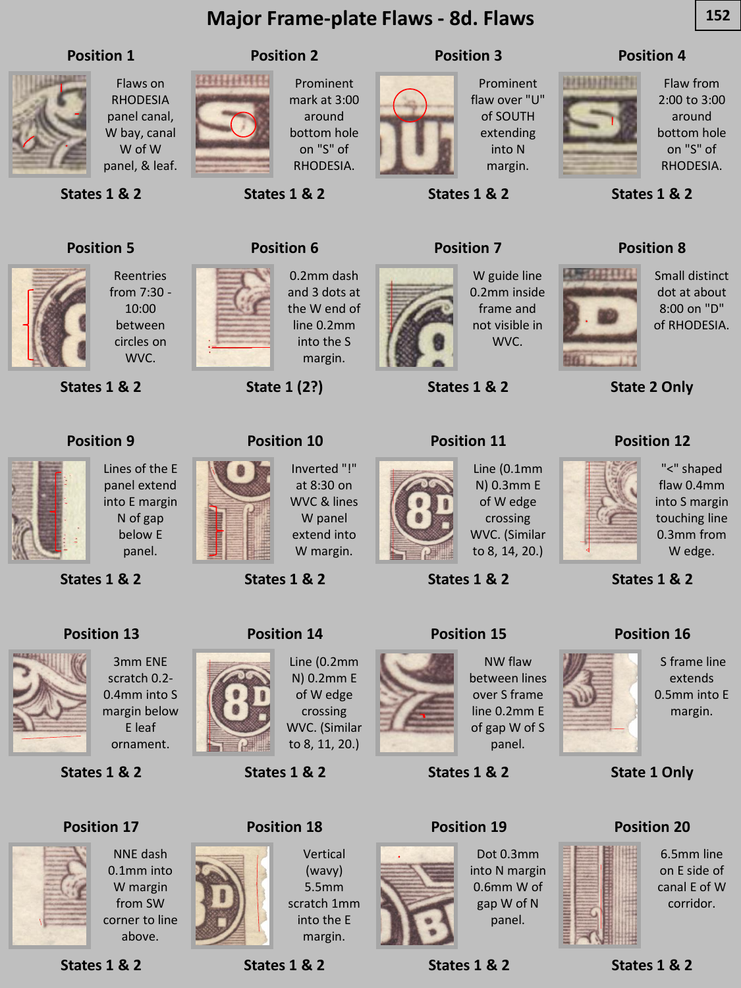#### **Major Frame-plate Flaws - 8d. Flaws 152**



Flaws on RHODESIA panel canal, W bay, canal W of W panel, & leaf.

**States 1 & 2**

## **HIHHHHH**

Prominent mark at 3:00 around bottom hole on "S" of RHODESIA.

**States 1 & 2**

**Position 2**

**Position 3**

**States 1 & 2**

**Position 7**

#### Prominent flaw over "U" of SOUTH extending into N margin.

#### **Position 4**



**ANGLITTI** 

Flaw from 2:00 to 3:00 around bottom hole on "S" of RHODESIA.

Small distinct dot at about 8:00 on "D" of RHODESIA.



**States 1 & 2**

**Position 8**

**State 2 Only**

# **Position 5**

from 7:30 - 10:00 between circles on WVC.

Lines of the E panel extend into E margin N of gap below E panel.

Reentries

**States 1 & 2**

**Position 9**

**States 1 & 2**

**Position 13**



0.2mm dash and 3 dots at the W end of line 0.2mm into the S margin.

Inverted "!" at 8:30 on WVC & lines W panel extend into W margin.

Line (0.2mm

of W edge crossing

Vertical (wavy) 5.5mm scratch 1mm into the E margin.

**State 1 (2?)**

**Position 10**

**States 1 & 2**

**Position 14**

**States 1 & 2**

**Position 18**



W guide line 0.2mm inside frame and not visible in WVC.

**States 1 & 2**

#### **Position 11**



**States 1 & 2**

#### **Position 15**



"<" shaped flaw 0.4mm into S margin touching line 0.3mm from W edge.

S frame line extends 0.5mm into E margin.

**States 1 & 2**

**Position 16**



3mm ENE scratch 0.2- 0.4mm into S margin below E leaf

ornament.

**States 1 & 2**

#### **Position 17**



NNE dash 0.1mm into W margin from SW corner to line above.

**States 1 & 2**

**States 1 & 2**



between lines over S frame line 0.2mm E of gap W of S panel.

NW flaw

**States 1 & 2**

#### **Position 19**



Dot 0.3mm into N margin 0.6mm W of gap W of N panel.

**States 1 & 2**

#### **Position 20**

**State 1 Only**



6.5mm line on E side of canal E of W corridor.

**States 1 & 2**







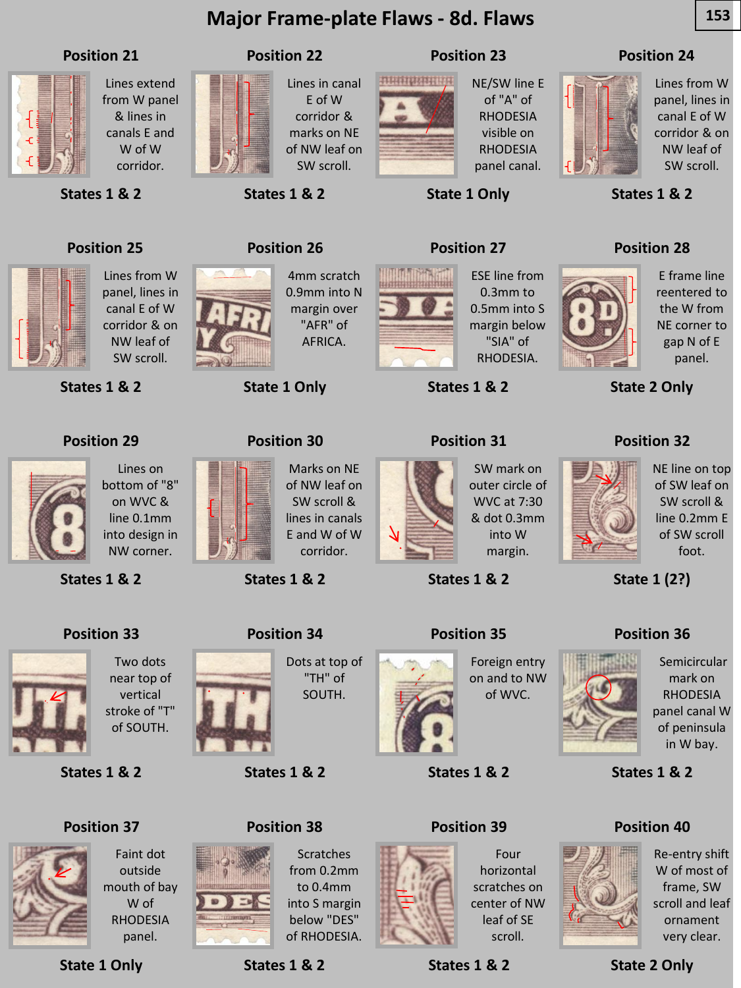### **Major Frame-plate Flaws - 8d. Flaws 153**





Faint dot outside mouth of bay W of RHODESIA panel.

**State 1 Only**

**Position 37**

**States 1 & 2**

**Position 38**

**Scratches** from 0.2mm to 0.4mm into S margin below "DES" of RHODESIA.

**Position 39**



Four horizontal scratches on center of NW leaf of SE scroll.

**States 1 & 2**

**Position 40**



Re-entry shift W of most of frame, SW scroll and leaf ornament very clear.

**State 2 Only**